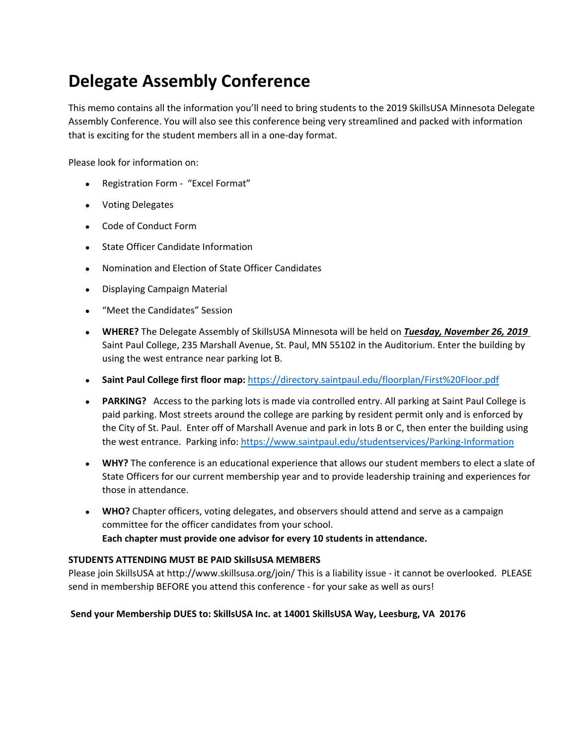# **Delegate Assembly Conference**

This memo contains all the information you'll need to bring students to the 2019 SkillsUSA Minnesota Delegate Assembly Conference. You will also see this conference being very streamlined and packed with information that is exciting for the student members all in a one-day format.

Please look for information on:

- Registration Form "Excel Format"
- Voting Delegates
- Code of Conduct Form
- State Officer Candidate Information
- Nomination and Election of State Officer Candidates
- Displaying Campaign Material
- "Meet the Candidates" Session
- **WHERE?** The Delegate Assembly of SkillsUSA Minnesota will be held on *Tuesday, November 26, 2019* Saint Paul College, 235 Marshall Avenue, St. Paul, MN 55102 in the Auditorium. Enter the building by using the west entrance near parking lot B.
- **Saint Paul College first floor map:** https://directory.saintpaul.edu/floorplan/First%20Floor.pdf
- **PARKING?** Access to the parking lots is made via controlled entry. All parking at Saint Paul College is paid parking. Most streets around the college are parking by resident permit only and is enforced by the City of St. Paul. Enter off of Marshall Avenue and park in lots B or C, then enter the building using the west entrance. Parking info: https://www.saintpaul.edu/studentservices/Parking-Information
- **WHY?** The conference is an educational experience that allows our student members to elect a slate of State Officers for our current membership year and to provide leadership training and experiences for those in attendance.
- **WHO?** Chapter officers, voting delegates, and observers should attend and serve as a campaign committee for the officer candidates from your school. **Each chapter must provide one advisor for every 10 students in attendance.**

# **STUDENTS ATTENDING MUST BE PAID SkillsUSA MEMBERS**

Please join SkillsUSA at http://www.skillsusa.org/join/ This is a liability issue - it cannot be overlooked. PLEASE send in membership BEFORE you attend this conference - for your sake as well as ours!

# **Send your Membership DUES to: SkillsUSA Inc. at 14001 SkillsUSA Way, Leesburg, VA 20176**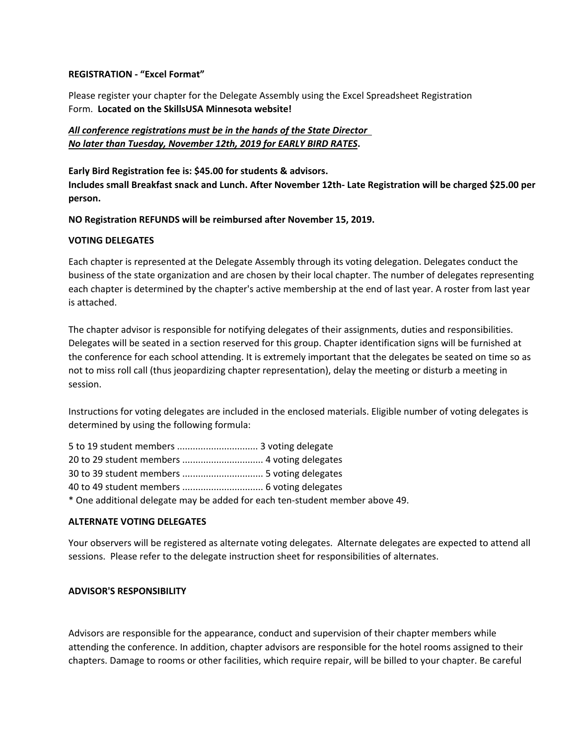# **REGISTRATION - "Excel Format"**

Please register your chapter for the Delegate Assembly using the Excel Spreadsheet Registration Form. **Located on the SkillsUSA Minnesota website!**

# *All conference registrations must be in the hands of the State Director*

*No later than Tuesday, November 12th, 2019 for EARLY BIRD RATES***. Early Bird Registration fee is: \$45.00 for students & advisors. Includes small Breakfast snack and Lunch. After November 12th- Late Registration will be charged \$25.00 per person.** 

#### **NO Registration REFUNDS will be reimbursed after November 15, 2019.**

#### **VOTING DELEGATES**

Each chapter is represented at the Delegate Assembly through its voting delegation. Delegates conduct the business of the state organization and are chosen by their local chapter. The number of delegates representing each chapter is determined by the chapter's active membership at the end of last year. A roster from last year is attached.

The chapter advisor is responsible for notifying delegates of their assignments, duties and responsibilities. Delegates will be seated in a section reserved for this group. Chapter identification signs will be furnished at the conference for each school attending. It is extremely important that the delegates be seated on time so as not to miss roll call (thus jeopardizing chapter representation), delay the meeting or disturb a meeting in session.

Instructions for voting delegates are included in the enclosed materials. Eligible number of voting delegates is determined by using the following formula:

| * One additional delegate may be added for each ten-student member above 49. |  |
|------------------------------------------------------------------------------|--|

# **ALTERNATE VOTING DELEGATES**

Your observers will be registered as alternate voting delegates. Alternate delegates are expected to attend all sessions. Please refer to the delegate instruction sheet for responsibilities of alternates.

#### **ADVISOR'S RESPONSIBILITY**

Advisors are responsible for the appearance, conduct and supervision of their chapter members while attending the conference. In addition, chapter advisors are responsible for the hotel rooms assigned to their chapters. Damage to rooms or other facilities, which require repair, will be billed to your chapter. Be careful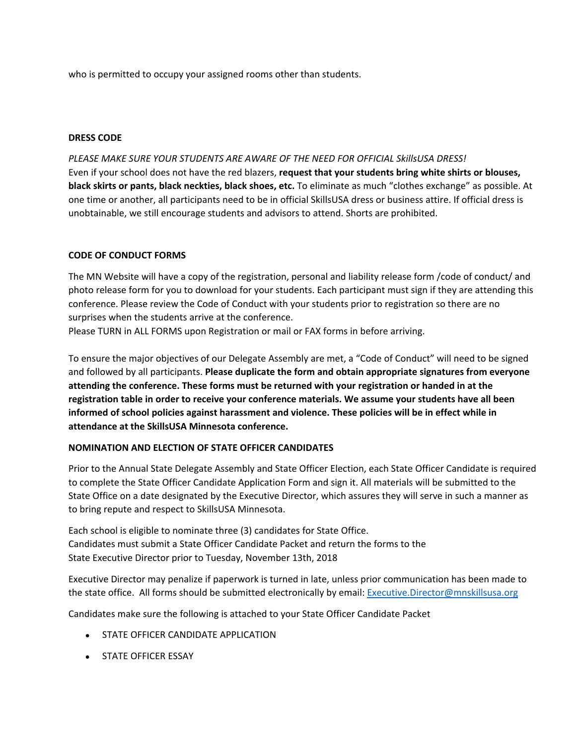who is permitted to occupy your assigned rooms other than students.

#### **DRESS CODE**

*PLEASE MAKE SURE YOUR STUDENTS ARE AWARE OF THE NEED FOR OFFICIAL SkillsUSA DRESS!* Even if your school does not have the red blazers, **request that your students bring white shirts or blouses, black skirts or pants, black neckties, black shoes, etc.** To eliminate as much "clothes exchange" as possible. At one time or another, all participants need to be in official SkillsUSA dress or business attire. If official dress is unobtainable, we still encourage students and advisors to attend. Shorts are prohibited.

# **CODE OF CONDUCT FORMS**

The MN Website will have a copy of the registration, personal and liability release form /code of conduct/ and photo release form for you to download for your students. Each participant must sign if they are attending this conference. Please review the Code of Conduct with your students prior to registration so there are no surprises when the students arrive at the conference.

Please TURN in ALL FORMS upon Registration or mail or FAX forms in before arriving.

To ensure the major objectives of our Delegate Assembly are met, a "Code of Conduct" will need to be signed and followed by all participants. **Please duplicate the form and obtain appropriate signatures from everyone attending the conference. These forms must be returned with your registration or handed in at the registration table in order to receive your conference materials. We assume your students have all been informed of school policies against harassment and violence. These policies will be in effect while in attendance at the SkillsUSA Minnesota conference.**

# **NOMINATION AND ELECTION OF STATE OFFICER CANDIDATES**

Prior to the Annual State Delegate Assembly and State Officer Election, each State Officer Candidate is required to complete the State Officer Candidate Application Form and sign it. All materials will be submitted to the State Office on a date designated by the Executive Director, which assures they will serve in such a manner as to bring repute and respect to SkillsUSA Minnesota.

Each school is eligible to nominate three (3) candidates for State Office. Candidates must submit a State Officer Candidate Packet and return the forms to the State Executive Director prior to Tuesday, November 13th, 2018

Executive Director may penalize if paperwork is turned in late, unless prior communication has been made to the state office. All forms should be submitted electronically by email: Executive.Director@mnskillsusa.org

Candidates make sure the following is attached to your State Officer Candidate Packet

- **STATE OFFICER CANDIDATE APPLICATION**
- **STATE OFFICER ESSAY**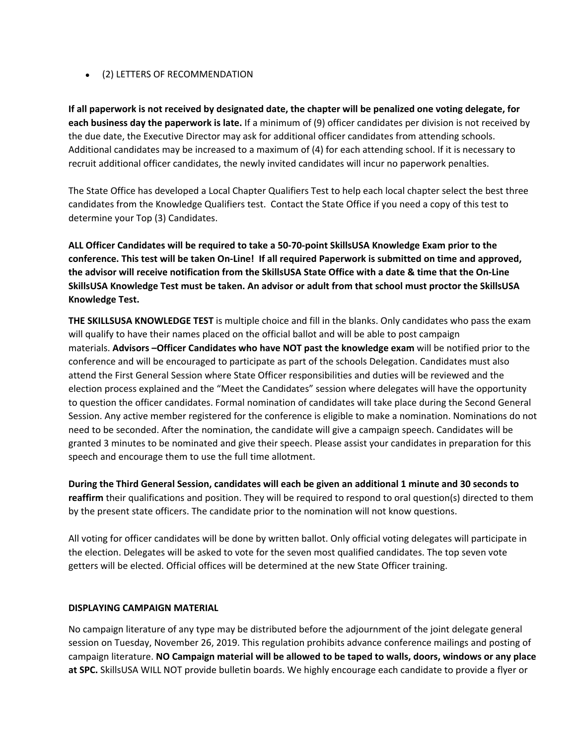# (2) LETTERS OF RECOMMENDATION

**If all paperwork is not received by designated date, the chapter will be penalized one voting delegate, for each business day the paperwork is late.** If a minimum of (9) officer candidates per division is not received by the due date, the Executive Director may ask for additional officer candidates from attending schools. Additional candidates may be increased to a maximum of (4) for each attending school. If it is necessary to recruit additional officer candidates, the newly invited candidates will incur no paperwork penalties.

The State Office has developed a Local Chapter Qualifiers Test to help each local chapter select the best three candidates from the Knowledge Qualifiers test. Contact the State Office if you need a copy of this test to determine your Top (3) Candidates.

**ALL Officer Candidates will be required to take a 50-70-point SkillsUSA Knowledge Exam prior to the conference. This test will be taken On-Line! If all required Paperwork is submitted on time and approved, the advisor will receive notification from the SkillsUSA State Office with a date & time that the On-Line SkillsUSA Knowledge Test must be taken. An advisor or adult from that school must proctor the SkillsUSA Knowledge Test.** 

**THE SKILLSUSA KNOWLEDGE TEST** is multiple choice and fill in the blanks. Only candidates who pass the exam will qualify to have their names placed on the official ballot and will be able to post campaign materials. **Advisors –Officer Candidates who have NOT past the knowledge exam** will be notified prior to the conference and will be encouraged to participate as part of the schools Delegation. Candidates must also attend the First General Session where State Officer responsibilities and duties will be reviewed and the election process explained and the "Meet the Candidates" session where delegates will have the opportunity to question the officer candidates. Formal nomination of candidates will take place during the Second General Session. Any active member registered for the conference is eligible to make a nomination. Nominations do not need to be seconded. After the nomination, the candidate will give a campaign speech. Candidates will be granted 3 minutes to be nominated and give their speech. Please assist your candidates in preparation for this speech and encourage them to use the full time allotment.

**During the Third General Session, candidates will each be given an additional 1 minute and 30 seconds to reaffirm** their qualifications and position. They will be required to respond to oral question(s) directed to them by the present state officers. The candidate prior to the nomination will not know questions.

All voting for officer candidates will be done by written ballot. Only official voting delegates will participate in the election. Delegates will be asked to vote for the seven most qualified candidates. The top seven vote getters will be elected. Official offices will be determined at the new State Officer training.

# **DISPLAYING CAMPAIGN MATERIAL**

No campaign literature of any type may be distributed before the adjournment of the joint delegate general session on Tuesday, November 26, 2019. This regulation prohibits advance conference mailings and posting of campaign literature. **NO Campaign material will be allowed to be taped to walls, doors, windows or any place at SPC.** SkillsUSA WILL NOT provide bulletin boards. We highly encourage each candidate to provide a flyer or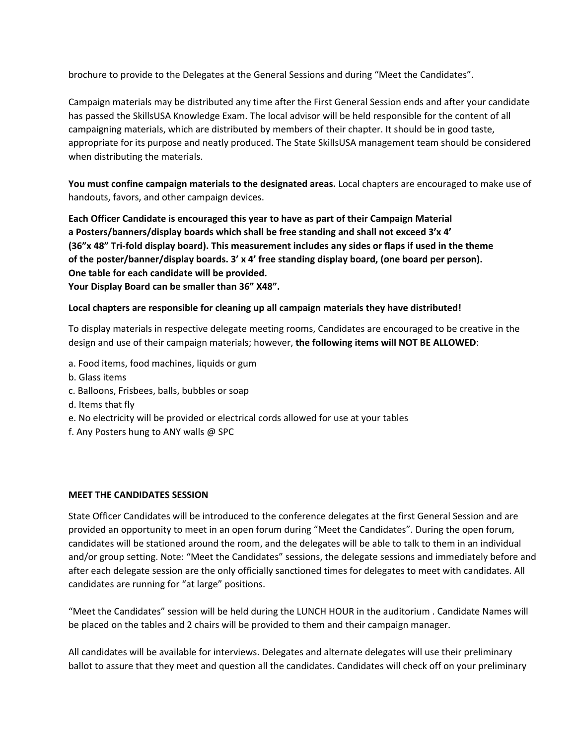brochure to provide to the Delegates at the General Sessions and during "Meet the Candidates".

Campaign materials may be distributed any time after the First General Session ends and after your candidate has passed the SkillsUSA Knowledge Exam. The local advisor will be held responsible for the content of all campaigning materials, which are distributed by members of their chapter. It should be in good taste, appropriate for its purpose and neatly produced. The State SkillsUSA management team should be considered when distributing the materials.

**You must confine campaign materials to the designated areas.** Local chapters are encouraged to make use of handouts, favors, and other campaign devices.

**Each Officer Candidate is encouraged this year to have as part of their Campaign Material a Posters/banners/display boards which shall be free standing and shall not exceed 3'x 4' (36"x 48" Tri-fold display board). This measurement includes any sides or flaps if used in the theme of the poster/banner/display boards. 3' x 4' free standing display board, (one board per person). One table for each candidate will be provided.**

**Your Display Board can be smaller than 36" X48".**

# **Local chapters are responsible for cleaning up all campaign materials they have distributed!**

To display materials in respective delegate meeting rooms, Candidates are encouraged to be creative in the design and use of their campaign materials; however, **the following items will NOT BE ALLOWED**:

- a. Food items, food machines, liquids or gum
- b. Glass items
- c. Balloons, Frisbees, balls, bubbles or soap
- d. Items that fly
- e. No electricity will be provided or electrical cords allowed for use at your tables
- f. Any Posters hung to ANY walls @ SPC

# **MEET THE CANDIDATES SESSION**

State Officer Candidates will be introduced to the conference delegates at the first General Session and are provided an opportunity to meet in an open forum during "Meet the Candidates". During the open forum, candidates will be stationed around the room, and the delegates will be able to talk to them in an individual and/or group setting. Note: "Meet the Candidates" sessions, the delegate sessions and immediately before and after each delegate session are the only officially sanctioned times for delegates to meet with candidates. All candidates are running for "at large" positions.

"Meet the Candidates" session will be held during the LUNCH HOUR in the auditorium . Candidate Names will be placed on the tables and 2 chairs will be provided to them and their campaign manager.

All candidates will be available for interviews. Delegates and alternate delegates will use their preliminary ballot to assure that they meet and question all the candidates. Candidates will check off on your preliminary